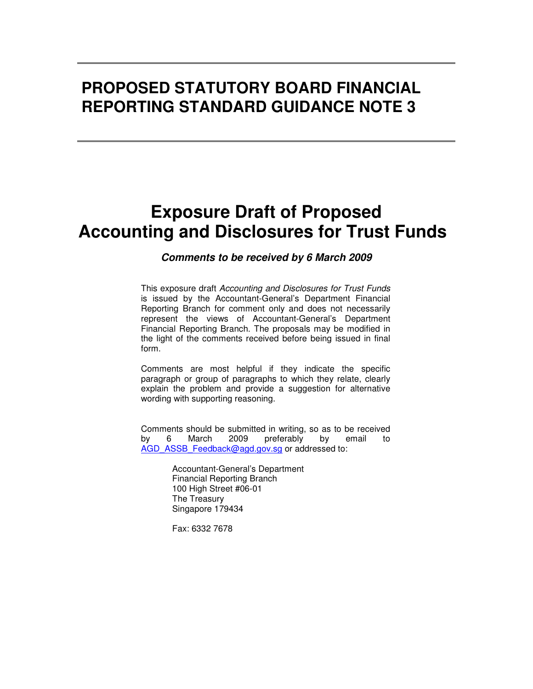# **PROPOSED STATUTORY BOARD FINANCIAL REPORTING STANDARD GUIDANCE NOTE 3**

# **Exposure Draft of Proposed Accounting and Disclosures for Trust Funds**

#### **Comments to be received by 6 March 2009**

This exposure draft Accounting and Disclosures for Trust Funds is issued by the Accountant-General's Department Financial Reporting Branch for comment only and does not necessarily represent the views of Accountant-General's Department Financial Reporting Branch. The proposals may be modified in the light of the comments received before being issued in final form.

Comments are most helpful if they indicate the specific paragraph or group of paragraphs to which they relate, clearly explain the problem and provide a suggestion for alternative wording with supporting reasoning.

Comments should be submitted in writing, so as to be received by 6 March 2009 preferably by email to AGD\_ASSB\_Feedback@agd.gov.sg or addressed to:

> Accountant-General's Department Financial Reporting Branch 100 High Street #06-01 The Treasury Singapore 179434

Fax: 6332 7678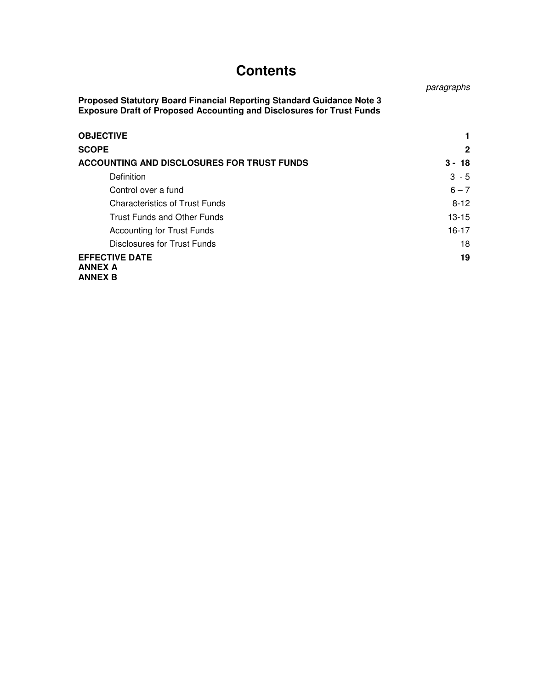# **Contents**

paragraphs

**Proposed Statutory Board Financial Reporting Standard Guidance Note 3 Exposure Draft of Proposed Accounting and Disclosures for Trust Funds** 

| <b>OBJECTIVE</b>                                          |              |
|-----------------------------------------------------------|--------------|
| <b>SCOPE</b>                                              | $\mathbf{2}$ |
| ACCOUNTING AND DISCLOSURES FOR TRUST FUNDS                | $3 - 18$     |
| Definition                                                | $3 - 5$      |
| Control over a fund                                       | $6 - 7$      |
| <b>Characteristics of Trust Funds</b>                     | $8 - 12$     |
| <b>Trust Funds and Other Funds</b>                        | $13 - 15$    |
| <b>Accounting for Trust Funds</b>                         | 16-17        |
| Disclosures for Trust Funds                               | 18           |
| <b>EFFECTIVE DATE</b><br><b>ANNEX A</b><br><b>ANNEX B</b> | 19           |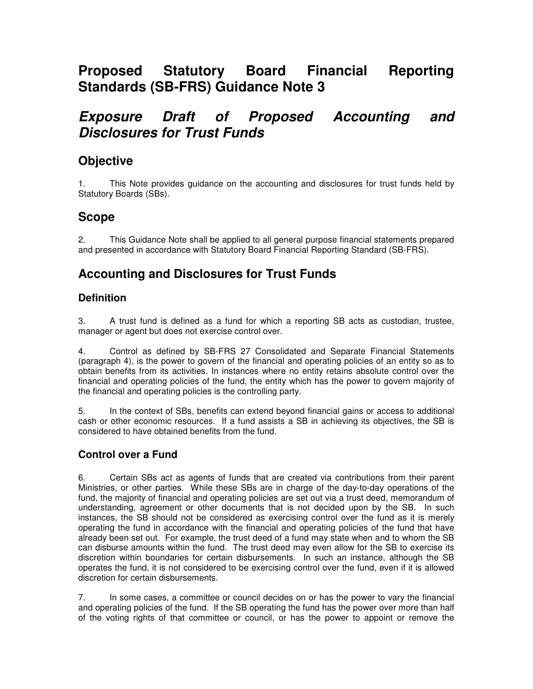# **Proposed Statutory Board Financial Reporting Standards (SB-FRS) Guidance Note 3**

## **Exposure Draft of Proposed Accounting and Disclosures for Trust Funds**

## **Objective**

1. This Note provides guidance on the accounting and disclosures for trust funds held by Statutory Boards (SBs).

## **Scope**

2. This Guidance Note shall be applied to all general purpose financial statements prepared and presented in accordance with Statutory Board Financial Reporting Standard (SB-FRS).

## **Accounting and Disclosures for Trust Funds**

## **Definition**

3. A trust fund is defined as a fund for which a reporting SB acts as custodian, trustee, manager or agent but does not exercise control over.

4. Control as defined by SB-FRS 27 Consolidated and Separate Financial Statements (paragraph 4), is the power to govern of the financial and operating policies of an entity so as to obtain benefits from its activities. In instances where no entity retains absolute control over the financial and operating policies of the fund, the entity which has the power to govern majority of the financial and operating policies is the controlling party.

5. In the context of SBs, benefits can extend beyond financial gains or access to additional cash or other economic resources. If a fund assists a SB in achieving its objectives, the SB is considered to have obtained benefits from the fund.

### **Control over a Fund**

6. Certain SBs act as agents of funds that are created via contributions from their parent Ministries, or other parties. While these SBs are in charge of the day-to-day operations of the fund, the majority of financial and operating policies are set out via a trust deed, memorandum of understanding, agreement or other documents that is not decided upon by the SB. In such instances, the SB should not be considered as exercising control over the fund as it is merely operating the fund in accordance with the financial and operating policies of the fund that have already been set out. For example, the trust deed of a fund may state when and to whom the SB can disburse amounts within the fund. The trust deed may even allow for the SB to exercise its discretion within boundaries for certain disbursements. In such an instance, although the SB operates the fund, it is not considered to be exercising control over the fund, even if it is allowed discretion for certain disbursements.

7. In some cases, a committee or council decides on or has the power to vary the financial and operating policies of the fund. If the SB operating the fund has the power over more than half of the voting rights of that committee or council, or has the power to appoint or remove the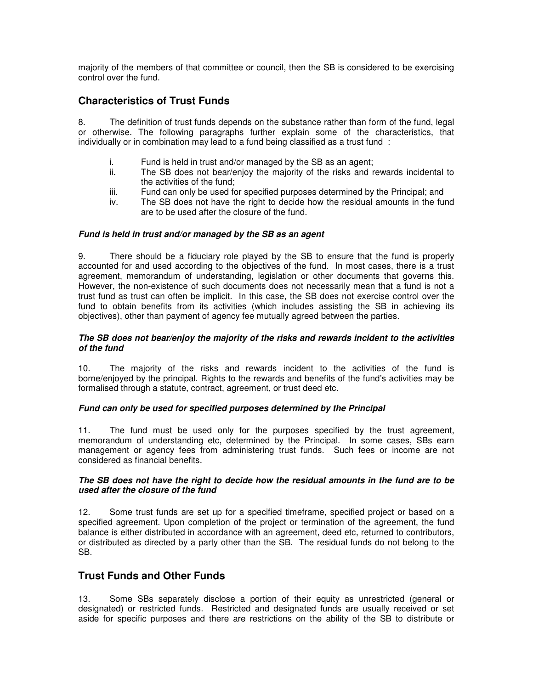majority of the members of that committee or council, then the SB is considered to be exercising control over the fund.

### **Characteristics of Trust Funds**

8. The definition of trust funds depends on the substance rather than form of the fund, legal or otherwise. The following paragraphs further explain some of the characteristics, that individually or in combination may lead to a fund being classified as a trust fund :

- i. Fund is held in trust and/or managed by the SB as an agent;<br>ii. The SB does not bear/eniov the maiority of the risks and r
- The SB does not bear/enjoy the majority of the risks and rewards incidental to the activities of the fund;
- iii. Fund can only be used for specified purposes determined by the Principal; and
- iv. The SB does not have the right to decide how the residual amounts in the fund are to be used after the closure of the fund.

#### **Fund is held in trust and/or managed by the SB as an agent**

9. There should be a fiduciary role played by the SB to ensure that the fund is properly accounted for and used according to the objectives of the fund. In most cases, there is a trust agreement, memorandum of understanding, legislation or other documents that governs this. However, the non-existence of such documents does not necessarily mean that a fund is not a trust fund as trust can often be implicit. In this case, the SB does not exercise control over the fund to obtain benefits from its activities (which includes assisting the SB in achieving its objectives), other than payment of agency fee mutually agreed between the parties.

#### **The SB does not bear/enjoy the majority of the risks and rewards incident to the activities of the fund**

10. The majority of the risks and rewards incident to the activities of the fund is borne/enjoyed by the principal. Rights to the rewards and benefits of the fund's activities may be formalised through a statute, contract, agreement, or trust deed etc.

#### **Fund can only be used for specified purposes determined by the Principal**

11. The fund must be used only for the purposes specified by the trust agreement, memorandum of understanding etc, determined by the Principal. In some cases, SBs earn management or agency fees from administering trust funds. Such fees or income are not considered as financial benefits.

#### **The SB does not have the right to decide how the residual amounts in the fund are to be used after the closure of the fund**

12. Some trust funds are set up for a specified timeframe, specified project or based on a specified agreement. Upon completion of the project or termination of the agreement, the fund balance is either distributed in accordance with an agreement, deed etc, returned to contributors, or distributed as directed by a party other than the SB. The residual funds do not belong to the SB.

### **Trust Funds and Other Funds**

13. Some SBs separately disclose a portion of their equity as unrestricted (general or designated) or restricted funds. Restricted and designated funds are usually received or set aside for specific purposes and there are restrictions on the ability of the SB to distribute or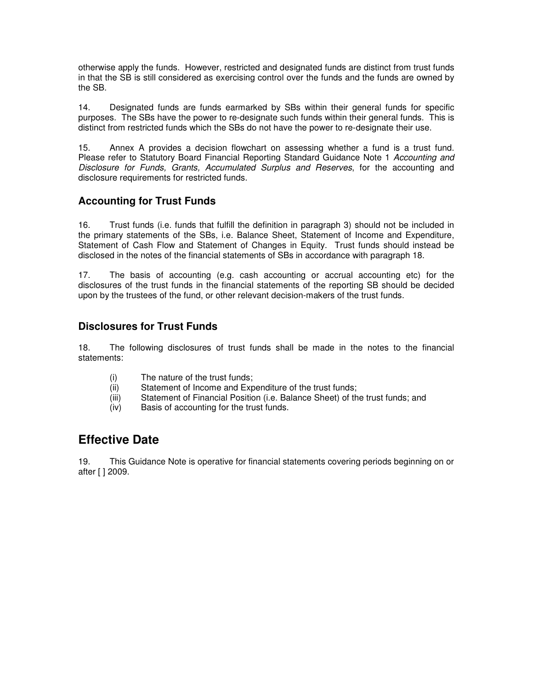otherwise apply the funds. However, restricted and designated funds are distinct from trust funds in that the SB is still considered as exercising control over the funds and the funds are owned by the SB.

14. Designated funds are funds earmarked by SBs within their general funds for specific purposes. The SBs have the power to re-designate such funds within their general funds. This is distinct from restricted funds which the SBs do not have the power to re-designate their use.

15. Annex A provides a decision flowchart on assessing whether a fund is a trust fund. Please refer to Statutory Board Financial Reporting Standard Guidance Note 1 Accounting and Disclosure for Funds, Grants, Accumulated Surplus and Reserves, for the accounting and disclosure requirements for restricted funds.

### **Accounting for Trust Funds**

16. Trust funds (i.e. funds that fulfill the definition in paragraph 3) should not be included in the primary statements of the SBs, i.e. Balance Sheet, Statement of Income and Expenditure, Statement of Cash Flow and Statement of Changes in Equity. Trust funds should instead be disclosed in the notes of the financial statements of SBs in accordance with paragraph 18.

17. The basis of accounting (e.g. cash accounting or accrual accounting etc) for the disclosures of the trust funds in the financial statements of the reporting SB should be decided upon by the trustees of the fund, or other relevant decision-makers of the trust funds.

## **Disclosures for Trust Funds**

18. The following disclosures of trust funds shall be made in the notes to the financial statements:

- (i) The nature of the trust funds;
- (ii) Statement of Income and Expenditure of the trust funds;
- (iii) Statement of Financial Position (i.e. Balance Sheet) of the trust funds; and
- (iv) Basis of accounting for the trust funds.

## **Effective Date**

19. This Guidance Note is operative for financial statements covering periods beginning on or after [ ] 2009.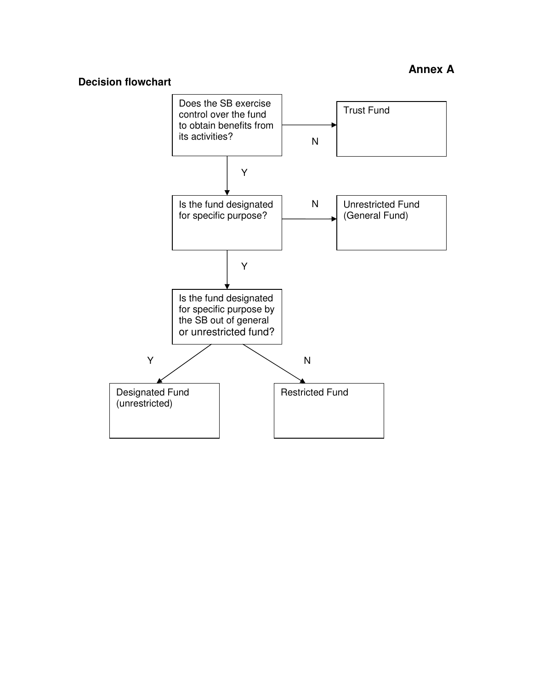#### **Decision flowchart**

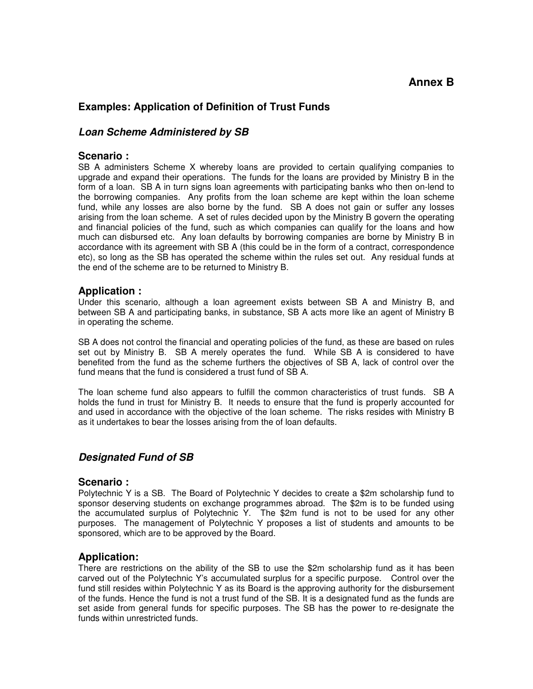## **Annex B**

#### **Examples: Application of Definition of Trust Funds**

#### **Loan Scheme Administered by SB**

#### **Scenario :**

SB A administers Scheme X whereby loans are provided to certain qualifying companies to upgrade and expand their operations. The funds for the loans are provided by Ministry B in the form of a loan. SB A in turn signs loan agreements with participating banks who then on-lend to the borrowing companies. Any profits from the loan scheme are kept within the loan scheme fund, while any losses are also borne by the fund. SB A does not gain or suffer any losses arising from the loan scheme. A set of rules decided upon by the Ministry B govern the operating and financial policies of the fund, such as which companies can qualify for the loans and how much can disbursed etc. Any loan defaults by borrowing companies are borne by Ministry B in accordance with its agreement with SB A (this could be in the form of a contract, correspondence etc), so long as the SB has operated the scheme within the rules set out. Any residual funds at the end of the scheme are to be returned to Ministry B.

#### **Application :**

Under this scenario, although a loan agreement exists between SB A and Ministry B, and between SB A and participating banks, in substance, SB A acts more like an agent of Ministry B in operating the scheme.

SB A does not control the financial and operating policies of the fund, as these are based on rules set out by Ministry B. SB A merely operates the fund. While SB A is considered to have benefited from the fund as the scheme furthers the objectives of SB A, lack of control over the fund means that the fund is considered a trust fund of SB A.

The loan scheme fund also appears to fulfill the common characteristics of trust funds. SB A holds the fund in trust for Ministry B. It needs to ensure that the fund is properly accounted for and used in accordance with the objective of the loan scheme. The risks resides with Ministry B as it undertakes to bear the losses arising from the of loan defaults.

#### **Designated Fund of SB**

#### **Scenario :**

Polytechnic Y is a SB. The Board of Polytechnic Y decides to create a \$2m scholarship fund to sponsor deserving students on exchange programmes abroad. The \$2m is to be funded using the accumulated surplus of Polytechnic Y. The \$2m fund is not to be used for any other purposes. The management of Polytechnic Y proposes a list of students and amounts to be sponsored, which are to be approved by the Board.

#### **Application:**

There are restrictions on the ability of the SB to use the \$2m scholarship fund as it has been carved out of the Polytechnic Y's accumulated surplus for a specific purpose. Control over the fund still resides within Polytechnic Y as its Board is the approving authority for the disbursement of the funds. Hence the fund is not a trust fund of the SB. It is a designated fund as the funds are set aside from general funds for specific purposes. The SB has the power to re-designate the funds within unrestricted funds.